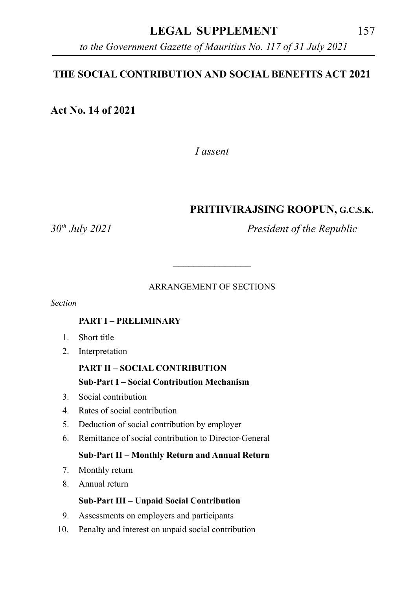### **LEGAL SUPPLEMENT** 157

*to the Government Gazette of Mauritius No. 117 of 31 July 2021*

#### **THE SOCIAL CONTRIBUTION AND SOCIAL BENEFITS ACT 2021**

**Act No. 14 of 2021**

*I assent*

#### **PRITHVIRAJSING ROOPUN, G.C.S.K.**

*30th July 2021 President of the Republic*

#### ARRANGEMENT OF SECTIONS

\_\_\_\_\_\_\_\_\_\_\_\_\_\_\_

*Section*

#### **PART I – PRELIMINARY**

- 1. Short title
- 2. Interpretation

# **PART II – SOCIAL CONTRIBUTION**

#### **Sub-Part I – Social Contribution Mechanism**

- 3. Social contribution
- 4. Rates of social contribution
- 5. Deduction of social contribution by employer
- 6. Remittance of social contribution to Director-General

#### **Sub-Part II – Monthly Return and Annual Return**

- 7. Monthly return
- 8. Annual return

#### **Sub-Part III – Unpaid Social Contribution**

- 9. Assessments on employers and participants
- 10. Penalty and interest on unpaid social contribution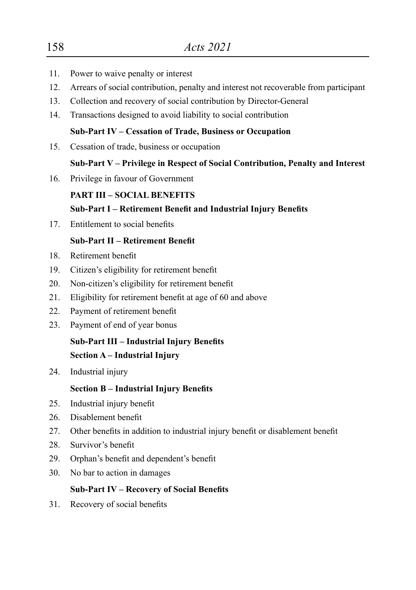- 11. Power to waive penalty or interest
- 12. Arrears of social contribution, penalty and interest not recoverable from participant
- 13. Collection and recovery of social contribution by Director-General
- 14. Transactions designed to avoid liability to social contribution

#### **Sub-Part IV – Cessation of Trade, Business or Occupation**

15. Cessation of trade, business or occupation

#### **Sub-Part V – Privilege in Respect of Social Contribution, Penalty and Interest**

16. Privilege in favour of Government

#### **PART III – SOCIAL BENEFITS**

#### **Sub-Part I – Retirement Benefit and Industrial Injury Benefits**

 17. Entitlement to social benefits

#### **Sub-Part II – Retirement Benefit**

- 18. Retirement benefit
- 19. Citizen's eligibility for retirement benefit
- 20. Non-citizen's eligibility for retirement benefit
- 21. Eligibility for retirement benefit at age of 60 and above
- 22. Payment of retirement benefit
- 23. Payment of end of year bonus

# **Sub-Part III – Industrial Injury Benefits**

# **Section A – Industrial Injury**

24. Industrial injury

#### **Section B – Industrial Injury Benefits**

- 25. Industrial injury benefit
- 26. Disablement benefit
- 27. Other benefits in addition to industrial injury benefit or disablement benefit
- 28. Survivor's benefit
- 29. Orphan's benefit and dependent's benefit
- 30. No bar to action in damages

#### **Sub-Part IV – Recovery of Social Benefits**

 31. Recovery of social benefits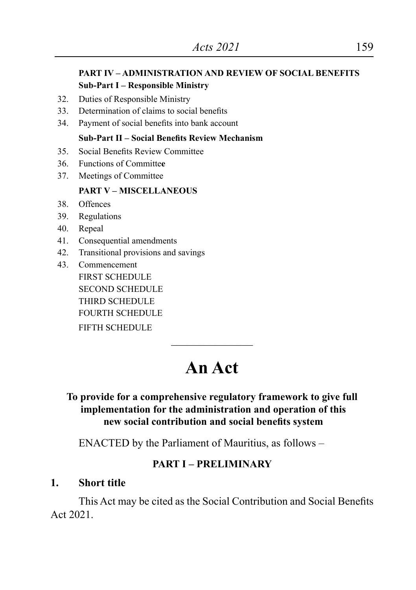#### **PART IV – ADMINISTRATION AND REVIEW OF SOCIAL BENEFITS Sub-Part I – Responsible Ministry**

- 32. Duties of Responsible Ministry
- 33. Determination of claims to social benefits
- 34. Payment of social benefits into bank account

#### **Sub-Part II – Social Benefits Review Mechanism**

- 35. Social Benefits Review Committee
- 36. Functions of Committe**e**
- 37. Meetings of Committee

#### **PART V – MISCELLANEOUS**

- 38. Offences
- 39. Regulations
- 40. Repeal
- 41. Consequential amendments
- 42. Transitional provisions and savings
- 43. Commencement FIRST SCHEDULE SECOND SCHEDULE THIRD SCHEDULE FOURTH SCHEDULE FIFTH SCHEDULE

# **An Act**

 $\overline{\phantom{a}}$  , where  $\overline{\phantom{a}}$ 

#### **To provide for a comprehensive regulatory framework to give full implementation for the administration and operation of this new social contribution and social benefits system**

ENACTED by the Parliament of Mauritius, as follows –

#### **PART I – PRELIMINARY**

#### **1. Short title**

This Act may be cited as the Social Contribution and Social Benefits Act 2021.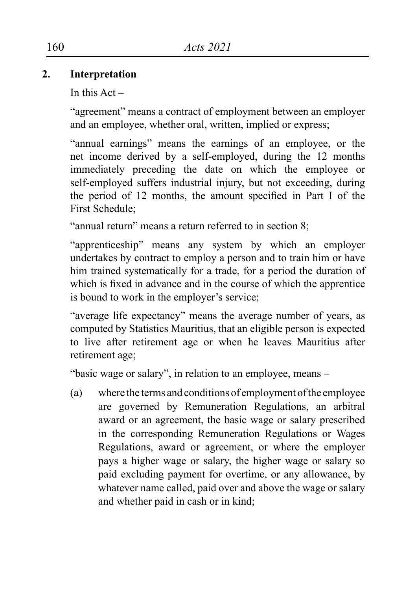#### **2. Interpretation**

In this  $Act -$ 

"agreement" means a contract of employment between an employer and an employee, whether oral, written, implied or express;

"annual earnings" means the earnings of an employee, or the net income derived by a self-employed, during the 12 months immediately preceding the date on which the employee or self-employed suffers industrial injury, but not exceeding, during the period of 12 months, the amount specified in Part I of the First Schedule;

"annual return" means a return referred to in section 8;

"apprenticeship" means any system by which an employer undertakes by contract to employ a person and to train him or have him trained systematically for a trade, for a period the duration of which is fixed in advance and in the course of which the apprentice is bound to work in the employer's service;

"average life expectancy" means the average number of years, as computed by Statistics Mauritius, that an eligible person is expected to live after retirement age or when he leaves Mauritius after retirement age;

"basic wage or salary", in relation to an employee, means –

(a) where the terms and conditions of employment of the employee are governed by Remuneration Regulations, an arbitral award or an agreement, the basic wage or salary prescribed in the corresponding Remuneration Regulations or Wages Regulations, award or agreement, or where the employer pays a higher wage or salary, the higher wage or salary so paid excluding payment for overtime, or any allowance, by whatever name called, paid over and above the wage or salary and whether paid in cash or in kind;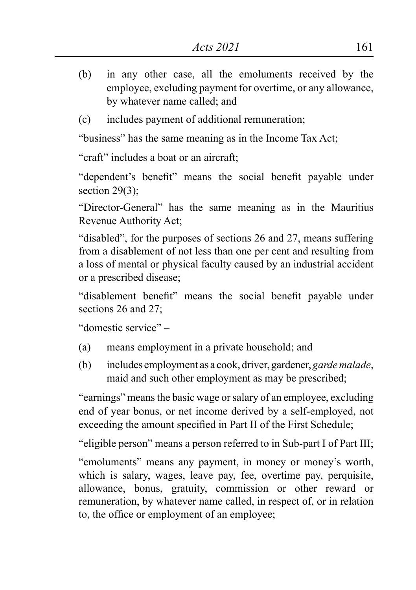- (b) in any other case, all the emoluments received by the employee, excluding payment for overtime, or any allowance, by whatever name called; and
- (c) includes payment of additional remuneration;

"business" has the same meaning as in the Income Tax Act;

"craft" includes a boat or an aircraft;

"dependent's benefit" means the social benefit payable under section  $29(3)$ ;

"Director-General" has the same meaning as in the Mauritius Revenue Authority Act;

"disabled", for the purposes of sections 26 and 27, means suffering from a disablement of not less than one per cent and resulting from a loss of mental or physical faculty caused by an industrial accident or a prescribed disease;

"disablement benefit" means the social benefit payable under sections 26 and 27;

"domestic service" –

- (a) means employment in a private household; and
- (b) includes employment as a cook, driver, gardener, *garde malade*, maid and such other employment as may be prescribed;

"earnings" means the basic wage or salary of an employee, excluding end of year bonus, or net income derived by a self-employed, not exceeding the amount specified in Part II of the First Schedule;

"eligible person" means a person referred to in Sub-part I of Part III;

"emoluments" means any payment, in money or money's worth, which is salary, wages, leave pay, fee, overtime pay, perquisite, allowance, bonus, gratuity, commission or other reward or remuneration, by whatever name called, in respect of, or in relation to, the office or employment of an employee;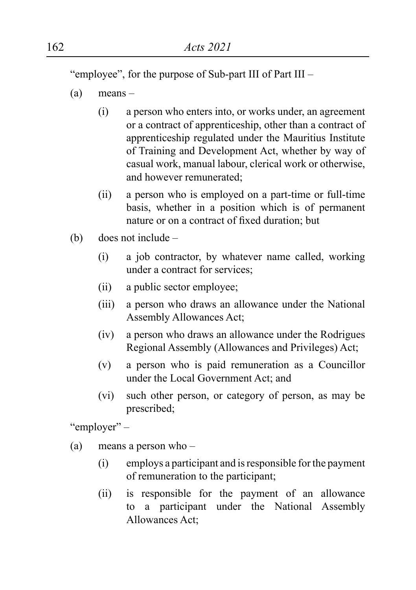"employee", for the purpose of Sub-part III of Part III –

- (a) means
	- (i) a person who enters into, or works under, an agreement or a contract of apprenticeship, other than a contract of apprenticeship regulated under the Mauritius Institute of Training and Development Act, whether by way of casual work, manual labour, clerical work or otherwise, and however remunerated;
	- (ii) a person who is employed on a part-time or full-time basis, whether in a position which is of permanent nature or on a contract of fixed duration; but
- (b) does not include
	- (i) a job contractor, by whatever name called, working under a contract for services;
	- (ii) a public sector employee;
	- (iii) a person who draws an allowance under the National Assembly Allowances Act;
	- (iv) a person who draws an allowance under the Rodrigues Regional Assembly (Allowances and Privileges) Act;
	- (v) a person who is paid remuneration as a Councillor under the Local Government Act; and
	- (vi) such other person, or category of person, as may be prescribed;

"employer" –

- (a) means a person who
	- (i) employs a participant and is responsible for the payment of remuneration to the participant;
	- (ii) is responsible for the payment of an allowance to a participant under the National Assembly Allowances Act;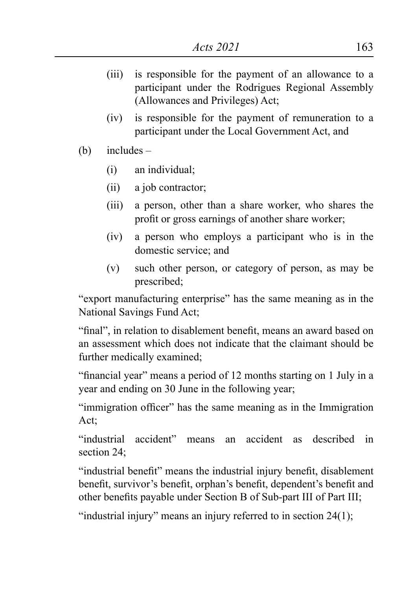- (iii) is responsible for the payment of an allowance to a participant under the Rodrigues Regional Assembly (Allowances and Privileges) Act;
- (iv) is responsible for the payment of remuneration to a participant under the Local Government Act, and
- (b) includes
	- (i) an individual;
	- (ii) a job contractor;
	- (iii) a person, other than a share worker, who shares the profit or gross earnings of another share worker;
	- (iv) a person who employs a participant who is in the domestic service; and
	- (v) such other person, or category of person, as may be prescribed;

"export manufacturing enterprise" has the same meaning as in the National Savings Fund Act;

"final", in relation to disablement benefit, means an award based on an assessment which does not indicate that the claimant should be further medically examined;

"financial year" means a period of 12 months starting on 1 July in a year and ending on 30 June in the following year;

"immigration officer" has the same meaning as in the Immigration Act;

"industrial accident" means an accident as described in section 24;

"industrial benefit" means the industrial injury benefit, disablement benefit, survivor's benefit, orphan's benefit, dependent's benefit and other benefits payable under Section B of Sub-part III of Part III;

"industrial injury" means an injury referred to in section  $24(1)$ ;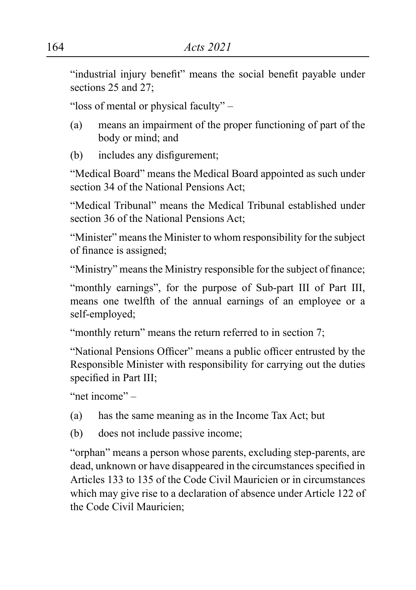"industrial injury benefit" means the social benefit payable under sections 25 and 27:

"loss of mental or physical faculty" –

- (a) means an impairment of the proper functioning of part of the body or mind; and
- (b) includes any disfigurement;

"Medical Board" means the Medical Board appointed as such under section 34 of the National Pensions Act:

"Medical Tribunal" means the Medical Tribunal established under section 36 of the National Pensions Act;

"Minister" means the Minister to whom responsibility for the subject of finance is assigned;

"Ministry" means the Ministry responsible for the subject of finance;

"monthly earnings", for the purpose of Sub-part III of Part III, means one twelfth of the annual earnings of an employee or a self-employed;

"monthly return" means the return referred to in section 7;

"National Pensions Officer" means a public officer entrusted by the Responsible Minister with responsibility for carrying out the duties specified in Part III;

"net income" –

- (a) has the same meaning as in the Income Tax Act; but
- (b) does not include passive income;

"orphan" means a person whose parents, excluding step-parents, are dead, unknown or have disappeared in the circumstances specified in Articles 133 to 135 of the Code Civil Mauricien or in circumstances which may give rise to a declaration of absence under Article 122 of the Code Civil Mauricien;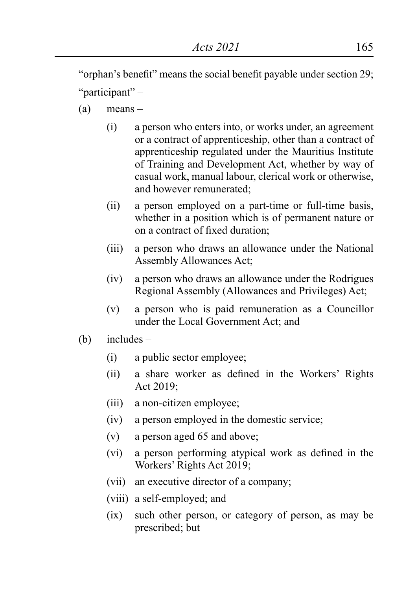"orphan's benefit" means the social benefit payable under section 29; "participant" –

- (a) means
	- (i) a person who enters into, or works under, an agreement or a contract of apprenticeship, other than a contract of apprenticeship regulated under the Mauritius Institute of Training and Development Act, whether by way of casual work, manual labour, clerical work or otherwise, and however remunerated;
	- (ii) a person employed on a part-time or full-time basis, whether in a position which is of permanent nature or on a contract of fixed duration;
	- (iii) a person who draws an allowance under the National Assembly Allowances Act;
	- (iv) a person who draws an allowance under the Rodrigues Regional Assembly (Allowances and Privileges) Act;
	- (v) a person who is paid remuneration as a Councillor under the Local Government Act; and
- (b) includes
	- (i) a public sector employee;
	- (ii) a share worker as defined in the Workers' Rights Act 2019;
	- (iii) a non-citizen employee;
	- (iv) a person employed in the domestic service;
	- (v) a person aged 65 and above;
	- (vi) a person performing atypical work as defined in the Workers' Rights Act 2019;
	- (vii) an executive director of a company;
	- (viii) a self-employed; and
	- (ix) such other person, or category of person, as may be prescribed; but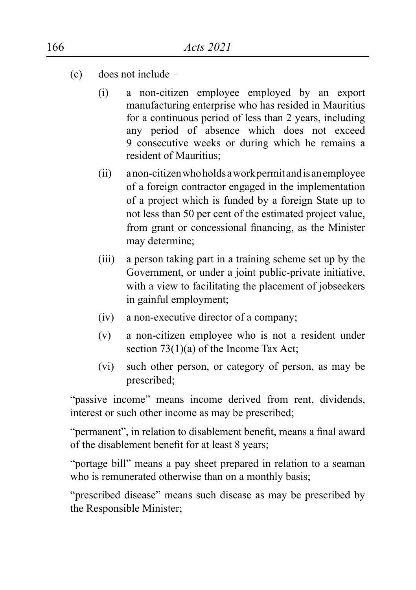- (c) does not include
	- (i) a non-citizen employee employed by an export manufacturing enterprise who has resided in Mauritius for a continuous period of less than 2 years, including any period of absence which does not exceed 9 consecutive weeks or during which he remains a resident of Mauritius;
	- (ii) anon-citizenwhoholdsaworkpermitandisanemployee of a foreign contractor engaged in the implementation of a project which is funded by a foreign State up to not less than 50 per cent of the estimated project value, from grant or concessional financing, as the Minister may determine;
	- (iii) a person taking part in a training scheme set up by the Government, or under a joint public-private initiative, with a view to facilitating the placement of jobseekers in gainful employment;
	- (iv) a non-executive director of a company;
	- (v) a non-citizen employee who is not a resident under section 73(1)(a) of the Income Tax Act;
	- (vi) such other person, or category of person, as may be prescribed;

"passive income" means income derived from rent, dividends, interest or such other income as may be prescribed;

"permanent", in relation to disablement benefit, means a final award of the disablement benefit for at least 8 years;

"portage bill" means a pay sheet prepared in relation to a seaman who is remunerated otherwise than on a monthly basis;

"prescribed disease" means such disease as may be prescribed by the Responsible Minister;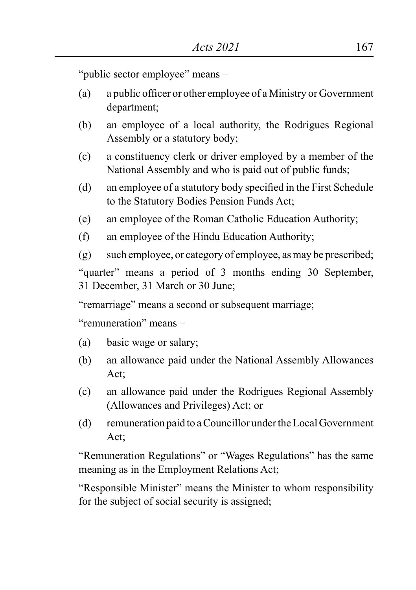"public sector employee" means –

- (a) a public officer or other employee of a Ministry or Government department;
- (b) an employee of a local authority, the Rodrigues Regional Assembly or a statutory body;
- (c) a constituency clerk or driver employed by a member of the National Assembly and who is paid out of public funds;
- (d) an employee of a statutory body specified in the First Schedule to the Statutory Bodies Pension Funds Act;
- (e) an employee of the Roman Catholic Education Authority;
- (f) an employee of the Hindu Education Authority;
- (g) such employee, or category of employee, as may be prescribed;

"quarter" means a period of 3 months ending 30 September, 31 December, 31 March or 30 June;

"remarriage" means a second or subsequent marriage;

"remuneration" means –

- (a) basic wage or salary;
- (b) an allowance paid under the National Assembly Allowances Act;
- (c) an allowance paid under the Rodrigues Regional Assembly (Allowances and Privileges) Act; or
- (d) remuneration paid to a Councillor under the Local Government Act<sup>-</sup>

"Remuneration Regulations" or "Wages Regulations" has the same meaning as in the Employment Relations Act;

"Responsible Minister" means the Minister to whom responsibility for the subject of social security is assigned;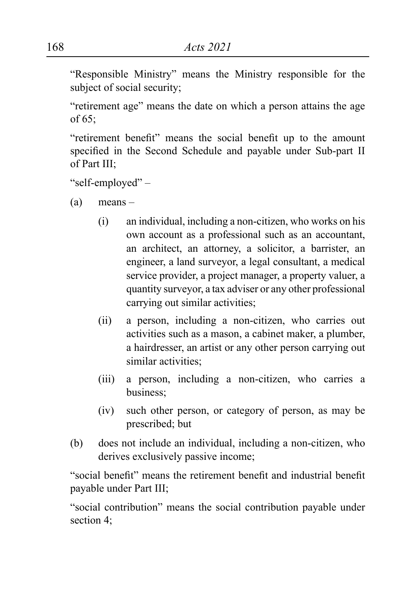"Responsible Ministry" means the Ministry responsible for the subject of social security;

"retirement age" means the date on which a person attains the age of 65;

"retirement benefit" means the social benefit up to the amount specified in the Second Schedule and payable under Sub-part II of Part III;

"self-employed" –

- (a) means
	- $(i)$  an individual, including a non-citizen, who works on his own account as a professional such as an accountant, an architect, an attorney, a solicitor, a barrister, an engineer, a land surveyor, a legal consultant, a medical service provider, a project manager, a property valuer, a quantity surveyor, a tax adviser or any other professional carrying out similar activities;
	- (ii) a person, including a non-citizen, who carries out activities such as a mason, a cabinet maker, a plumber, a hairdresser, an artist or any other person carrying out similar activities;
	- (iii) a person, including a non-citizen, who carries a business;
	- (iv) such other person, or category of person, as may be prescribed; but
- (b) does not include an individual, including a non-citizen, who derives exclusively passive income;

"social benefit" means the retirement benefit and industrial benefit payable under Part III;

"social contribution" means the social contribution payable under section 4;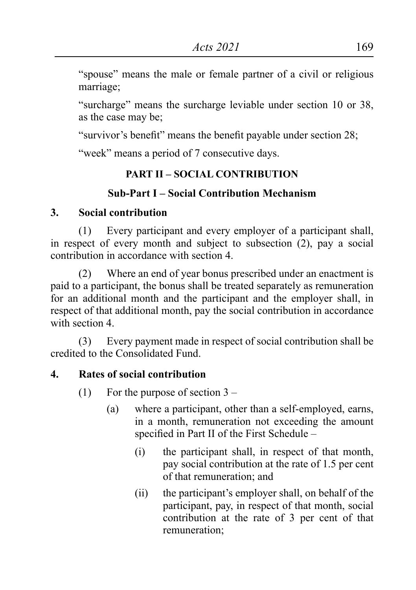"spouse" means the male or female partner of a civil or religious marriage;

"surcharge" means the surcharge leviable under section 10 or 38, as the case may be;

"survivor's benefit" means the benefit payable under section 28;

"week" means a period of 7 consecutive days.

### **PART II – SOCIAL CONTRIBUTION**

### **Sub-Part I – Social Contribution Mechanism**

### **3. Social contribution**

(1) Every participant and every employer of a participant shall, in respect of every month and subject to subsection (2), pay a social contribution in accordance with section 4.

(2) Where an end of year bonus prescribed under an enactment is paid to a participant, the bonus shall be treated separately as remuneration for an additional month and the participant and the employer shall, in respect of that additional month, pay the social contribution in accordance with section 4.

(3) Every payment made in respect of social contribution shall be credited to the Consolidated Fund.

### **4. Rates of social contribution**

- (1) For the purpose of section 3
	- (a) where a participant, other than a self-employed, earns, in a month, remuneration not exceeding the amount specified in Part II of the First Schedule –
		- (i) the participant shall, in respect of that month, pay social contribution at the rate of 1.5 per cent of that remuneration; and
		- (ii) the participant's employer shall, on behalf of the participant, pay, in respect of that month, social contribution at the rate of 3 per cent of that remuneration;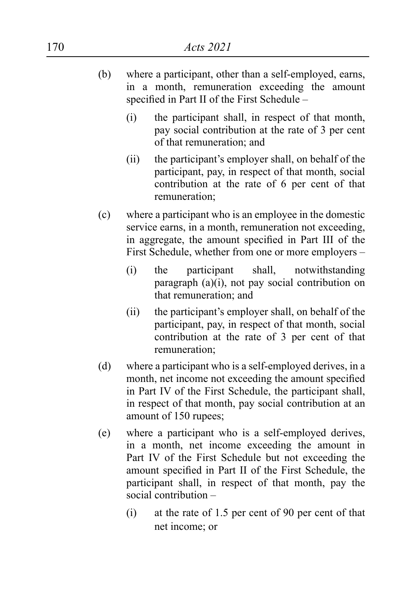- (b) where a participant, other than a self-employed, earns, in a month, remuneration exceeding the amount specified in Part II of the First Schedule –
	- (i) the participant shall, in respect of that month, pay social contribution at the rate of 3 per cent of that remuneration; and
	- (ii) the participant's employer shall, on behalf of the participant, pay, in respect of that month, social contribution at the rate of 6 per cent of that remuneration;
- (c) where a participant who is an employee in the domestic service earns, in a month, remuneration not exceeding, in aggregate, the amount specified in Part III of the First Schedule, whether from one or more employers –
	- (i) the participant shall, notwithstanding paragraph (a)(i), not pay social contribution on that remuneration; and
	- (ii) the participant's employer shall, on behalf of the participant, pay, in respect of that month, social contribution at the rate of 3 per cent of that remuneration;
- (d) where a participant who is a self-employed derives, in a month, net income not exceeding the amount specified in Part IV of the First Schedule, the participant shall, in respect of that month, pay social contribution at an amount of 150 rupees;
- (e) where a participant who is a self-employed derives, in a month, net income exceeding the amount in Part IV of the First Schedule but not exceeding the amount specified in Part II of the First Schedule, the participant shall, in respect of that month, pay the social contribution –
	- (i) at the rate of 1.5 per cent of 90 per cent of that net income; or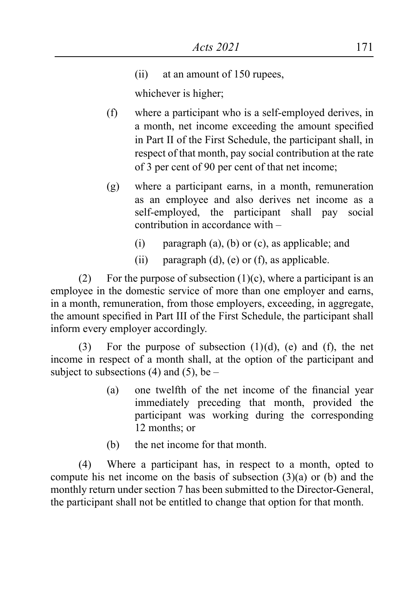(ii) at an amount of 150 rupees,

whichever is higher;

- (f) where a participant who is a self-employed derives, in a month, net income exceeding the amount specified in Part II of the First Schedule, the participant shall, in respect of that month, pay social contribution at the rate of 3 per cent of 90 per cent of that net income;
- (g) where a participant earns, in a month, remuneration as an employee and also derives net income as a self-employed, the participant shall pay social contribution in accordance with –
	- (i) paragraph (a), (b) or (c), as applicable; and
	- (ii) paragraph  $(d)$ ,  $(e)$  or  $(f)$ , as applicable.

(2) For the purpose of subsection  $(1)(c)$ , where a participant is an employee in the domestic service of more than one employer and earns, in a month, remuneration, from those employers, exceeding, in aggregate, the amount specified in Part III of the First Schedule, the participant shall inform every employer accordingly.

(3) For the purpose of subsection  $(1)(d)$ , (e) and (f), the net income in respect of a month shall, at the option of the participant and subject to subsections (4) and (5), be  $-$ 

- (a) one twelfth of the net income of the financial year immediately preceding that month, provided the participant was working during the corresponding 12 months; or
- (b) the net income for that month.

(4) Where a participant has, in respect to a month, opted to compute his net income on the basis of subsection (3)(a) or (b) and the monthly return under section 7 has been submitted to the Director-General, the participant shall not be entitled to change that option for that month.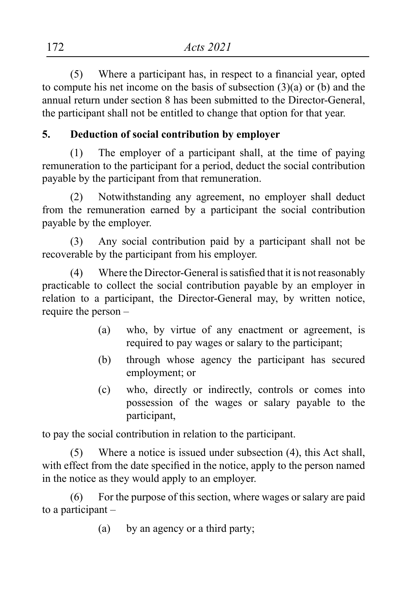(5) Where a participant has, in respect to a financial year, opted to compute his net income on the basis of subsection (3)(a) or (b) and the annual return under section 8 has been submitted to the Director-General, the participant shall not be entitled to change that option for that year.

# **5. Deduction of social contribution by employer**

(1) The employer of a participant shall, at the time of paying remuneration to the participant for a period, deduct the social contribution payable by the participant from that remuneration.

(2) Notwithstanding any agreement, no employer shall deduct from the remuneration earned by a participant the social contribution payable by the employer.

(3) Any social contribution paid by a participant shall not be recoverable by the participant from his employer.

(4) Where the Director-General is satisfied that it is not reasonably practicable to collect the social contribution payable by an employer in relation to a participant, the Director-General may, by written notice, require the person –

- (a) who, by virtue of any enactment or agreement, is required to pay wages or salary to the participant;
- (b) through whose agency the participant has secured employment; or
- (c) who, directly or indirectly, controls or comes into possession of the wages or salary payable to the participant,

to pay the social contribution in relation to the participant.

(5) Where a notice is issued under subsection (4), this Act shall, with effect from the date specified in the notice, apply to the person named in the notice as they would apply to an employer.

(6) For the purpose of this section, where wages or salary are paid to a participant –

(a) by an agency or a third party;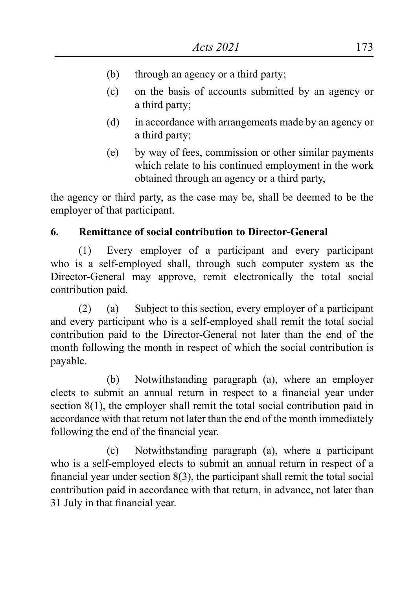- (b) through an agency or a third party;
- (c) on the basis of accounts submitted by an agency or a third party;
- (d) in accordance with arrangements made by an agency or a third party;
- (e) by way of fees, commission or other similar payments which relate to his continued employment in the work obtained through an agency or a third party,

the agency or third party, as the case may be, shall be deemed to be the employer of that participant.

# **6. Remittance of social contribution to Director-General**

(1) Every employer of a participant and every participant who is a self-employed shall, through such computer system as the Director-General may approve, remit electronically the total social contribution paid.

(2) (a) Subject to this section, every employer of a participant and every participant who is a self-employed shall remit the total social contribution paid to the Director-General not later than the end of the month following the month in respect of which the social contribution is payable.

(b) Notwithstanding paragraph (a), where an employer elects to submit an annual return in respect to a financial year under section 8(1), the employer shall remit the total social contribution paid in accordance with that return not later than the end of the month immediately following the end of the financial year.

(c) Notwithstanding paragraph (a), where a participant who is a self-employed elects to submit an annual return in respect of a financial year under section 8(3), the participant shall remit the total social contribution paid in accordance with that return, in advance, not later than 31 July in that financial year.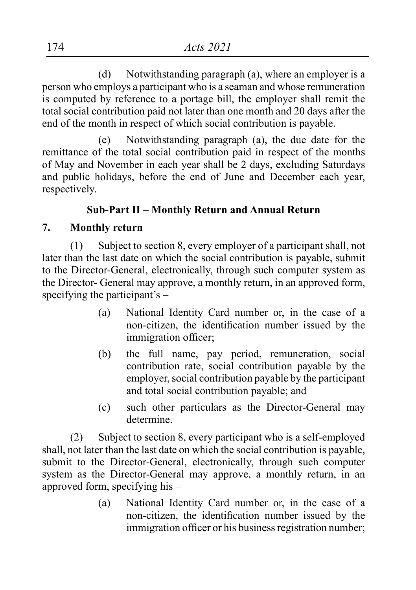(d) Notwithstanding paragraph (a), where an employer is a person who employs a participant who is a seaman and whose remuneration is computed by reference to a portage bill, the employer shall remit the total social contribution paid not later than one month and 20 days after the end of the month in respect of which social contribution is payable.

(e) Notwithstanding paragraph (a), the due date for the remittance of the total social contribution paid in respect of the months of May and November in each year shall be 2 days, excluding Saturdays and public holidays, before the end of June and December each year, respectively.

### **Sub-Part II – Monthly Return and Annual Return**

#### **7. Monthly return**

(1) Subject to section 8, every employer of a participant shall, not later than the last date on which the social contribution is payable, submit to the Director-General, electronically, through such computer system as the Director- General may approve, a monthly return, in an approved form, specifying the participant's –

- (a) National Identity Card number or, in the case of a non-citizen, the identification number issued by the immigration officer;
- (b) the full name, pay period, remuneration, social contribution rate, social contribution payable by the employer, social contribution payable by the participant and total social contribution payable; and
- (c) such other particulars as the Director-General may determine.

(2) Subject to section 8, every participant who is a self-employed shall, not later than the last date on which the social contribution is payable, submit to the Director-General, electronically, through such computer system as the Director-General may approve, a monthly return, in an approved form, specifying his –

> (a) National Identity Card number or, in the case of a non-citizen, the identification number issued by the immigration officer or his business registration number;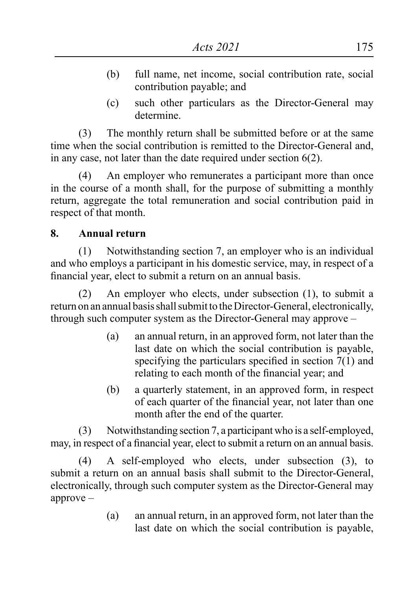- (b) full name, net income, social contribution rate, social contribution payable; and
- (c) such other particulars as the Director-General may determine.

(3) The monthly return shall be submitted before or at the same time when the social contribution is remitted to the Director-General and, in any case, not later than the date required under section 6(2).

(4) An employer who remunerates a participant more than once in the course of a month shall, for the purpose of submitting a monthly return, aggregate the total remuneration and social contribution paid in respect of that month.

#### **8. Annual return**

(1) Notwithstanding section 7, an employer who is an individual and who employs a participant in his domestic service, may, in respect of a financial year, elect to submit a return on an annual basis.

(2) An employer who elects, under subsection (1), to submit a return on an annual basis shall submit to the Director-General, electronically, through such computer system as the Director-General may approve –

- (a) an annual return, in an approved form, not later than the last date on which the social contribution is payable, specifying the particulars specified in section 7(1) and relating to each month of the financial year; and
- (b) a quarterly statement, in an approved form, in respect of each quarter of the financial year, not later than one month after the end of the quarter.

(3) Notwithstanding section 7, a participant who is a self-employed, may, in respect of a financial year, elect to submit a return on an annual basis.

(4) A self-employed who elects, under subsection (3), to submit a return on an annual basis shall submit to the Director-General, electronically, through such computer system as the Director-General may approve –

> (a) an annual return, in an approved form, not later than the last date on which the social contribution is payable,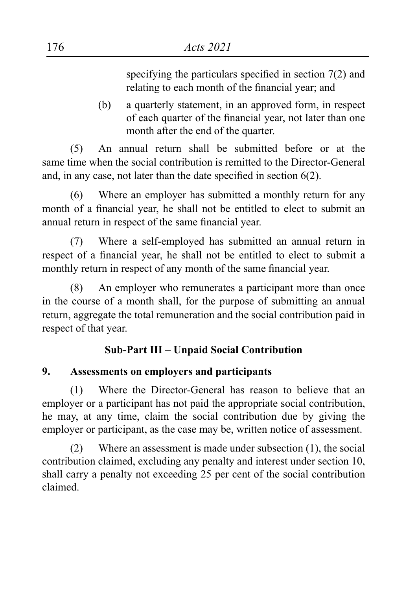specifying the particulars specified in section 7(2) and relating to each month of the financial year; and

(b) a quarterly statement, in an approved form, in respect of each quarter of the financial year, not later than one month after the end of the quarter.

(5) An annual return shall be submitted before or at the same time when the social contribution is remitted to the Director-General and, in any case, not later than the date specified in section 6(2).

(6) Where an employer has submitted a monthly return for any month of a financial year, he shall not be entitled to elect to submit an annual return in respect of the same financial year.

(7) Where a self-employed has submitted an annual return in respect of a financial year, he shall not be entitled to elect to submit a monthly return in respect of any month of the same financial year.

(8) An employer who remunerates a participant more than once in the course of a month shall, for the purpose of submitting an annual return, aggregate the total remuneration and the social contribution paid in respect of that year.

# **Sub-Part III – Unpaid Social Contribution**

# **9. Assessments on employers and participants**

(1) Where the Director-General has reason to believe that an employer or a participant has not paid the appropriate social contribution, he may, at any time, claim the social contribution due by giving the employer or participant, as the case may be, written notice of assessment.

(2) Where an assessment is made under subsection (1), the social contribution claimed, excluding any penalty and interest under section 10, shall carry a penalty not exceeding 25 per cent of the social contribution claimed.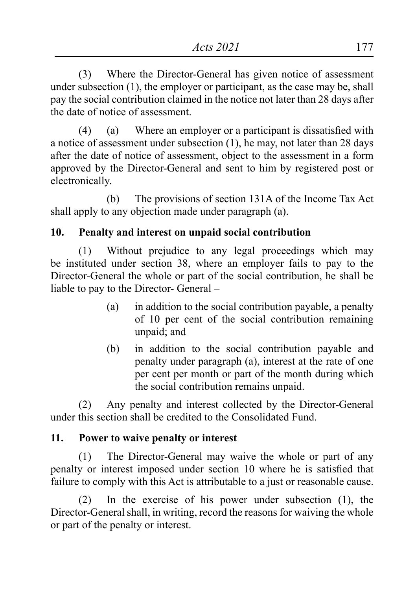(3) Where the Director-General has given notice of assessment under subsection (1), the employer or participant, as the case may be, shall pay the social contribution claimed in the notice not later than 28 days after the date of notice of assessment.

 $(4)$  (a) Where an employer or a participant is dissatisfied with a notice of assessment under subsection (1), he may, not later than 28 days after the date of notice of assessment, object to the assessment in a form approved by the Director-General and sent to him by registered post or electronically.

(b) The provisions of section 131A of the Income Tax Act shall apply to any objection made under paragraph (a).

# **10. Penalty and interest on unpaid social contribution**

(1) Without prejudice to any legal proceedings which may be instituted under section 38, where an employer fails to pay to the Director-General the whole or part of the social contribution, he shall be liable to pay to the Director- General –

- (a) in addition to the social contribution payable, a penalty of 10 per cent of the social contribution remaining unpaid; and
- (b) in addition to the social contribution payable and penalty under paragraph (a), interest at the rate of one per cent per month or part of the month during which the social contribution remains unpaid.

(2) Any penalty and interest collected by the Director-General under this section shall be credited to the Consolidated Fund.

# **11. Power to waive penalty or interest**

(1) The Director-General may waive the whole or part of any penalty or interest imposed under section 10 where he is satisfied that failure to comply with this Act is attributable to a just or reasonable cause.

(2) In the exercise of his power under subsection (1), the Director-General shall, in writing, record the reasons for waiving the whole or part of the penalty or interest.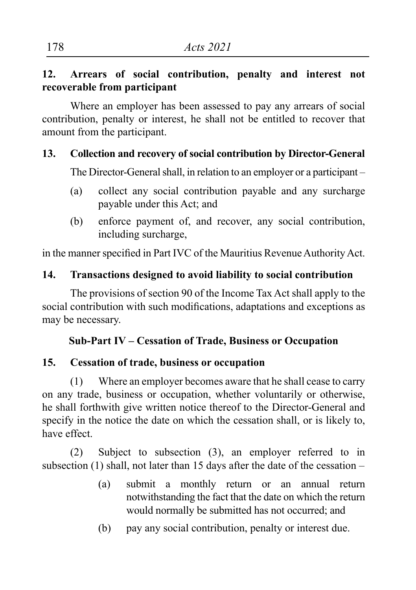### **12. Arrears of social contribution, penalty and interest not recoverable from participant**

Where an employer has been assessed to pay any arrears of social contribution, penalty or interest, he shall not be entitled to recover that amount from the participant.

#### **13. Collection and recovery of social contribution by Director-General**

The Director-General shall, in relation to an employer or a participant –

- (a) collect any social contribution payable and any surcharge payable under this Act; and
- (b) enforce payment of, and recover, any social contribution, including surcharge,

in the manner specified in Part IVC of the Mauritius Revenue Authority Act.

#### **14. Transactions designed to avoid liability to social contribution**

The provisions of section 90 of the Income Tax Act shall apply to the social contribution with such modifications, adaptations and exceptions as may be necessary.

### **Sub-Part IV – Cessation of Trade, Business or Occupation**

### **15. Cessation of trade, business or occupation**

(1) Where an employer becomes aware that he shall cease to carry on any trade, business or occupation, whether voluntarily or otherwise, he shall forthwith give written notice thereof to the Director-General and specify in the notice the date on which the cessation shall, or is likely to, have effect.

(2) Subject to subsection (3), an employer referred to in subsection (1) shall, not later than 15 days after the date of the cessation –

- (a) submit a monthly return or an annual return notwithstanding the fact that the date on which the return would normally be submitted has not occurred; and
- (b) pay any social contribution, penalty or interest due.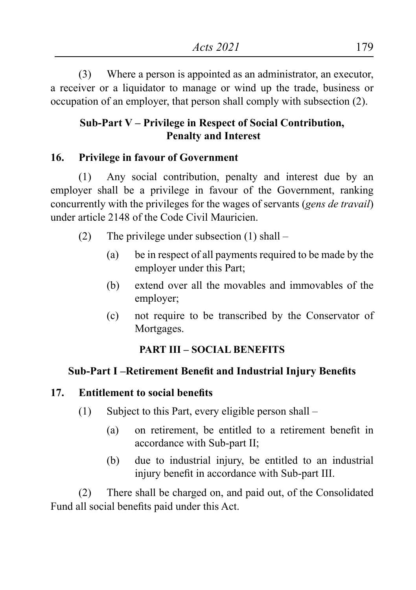(3) Where a person is appointed as an administrator, an executor, a receiver or a liquidator to manage or wind up the trade, business or occupation of an employer, that person shall comply with subsection (2).

# **Sub-Part V – Privilege in Respect of Social Contribution, Penalty and Interest**

### **16. Privilege in favour of Government**

(1) Any social contribution, penalty and interest due by an employer shall be a privilege in favour of the Government, ranking concurrently with the privileges for the wages of servants (*gens de travail*) under article 2148 of the Code Civil Mauricien.

- (2) The privilege under subsection (1) shall
	- (a) be in respect of all payments required to be made by the employer under this Part;
	- (b) extend over all the movables and immovables of the employer;
	- (c) not require to be transcribed by the Conservator of Mortgages.

### **PART III – SOCIAL BENEFITS**

### **Sub-Part I –Retirement Benefit and Industrial Injury Benefits**

#### **17. Entitlement to social benefits**

- (1) Subject to this Part, every eligible person shall
	- (a) on retirement, be entitled to a retirement benefit in accordance with Sub-part II;
	- (b) due to industrial injury, be entitled to an industrial injury benefit in accordance with Sub-part III.

(2) There shall be charged on, and paid out, of the Consolidated Fund all social benefits paid under this Act.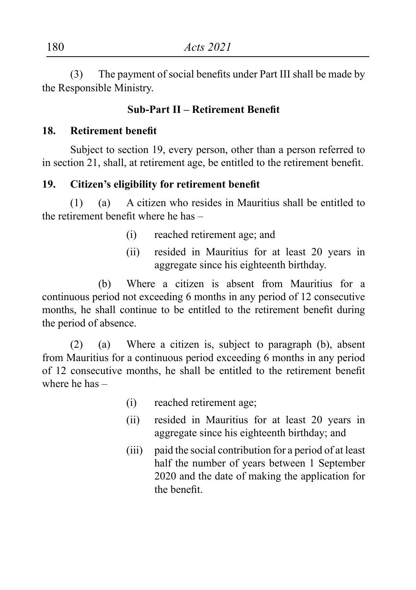(3) The payment of social benefits under Part III shall be made by the Responsible Ministry.

#### **Sub-Part II – Retirement Benefit**

#### **18. Retirement benefit**

Subject to section 19, every person, other than a person referred to in section 21, shall, at retirement age, be entitled to the retirement benefit.

#### **19. Citizen's eligibility for retirement benefit**

(1) (a) A citizen who resides in Mauritius shall be entitled to the retirement benefit where he has –

- (i) reached retirement age; and
- (ii) resided in Mauritius for at least 20 years in aggregate since his eighteenth birthday.

(b) Where a citizen is absent from Mauritius for a continuous period not exceeding 6 months in any period of 12 consecutive months, he shall continue to be entitled to the retirement benefit during the period of absence.

(2) (a) Where a citizen is, subject to paragraph (b), absent from Mauritius for a continuous period exceeding 6 months in any period of 12 consecutive months, he shall be entitled to the retirement benefit where he has –

- (i) reached retirement age;
- (ii) resided in Mauritius for at least 20 years in aggregate since his eighteenth birthday; and
- (iii) paid the social contribution for a period of at least half the number of years between 1 September 2020 and the date of making the application for the benefit.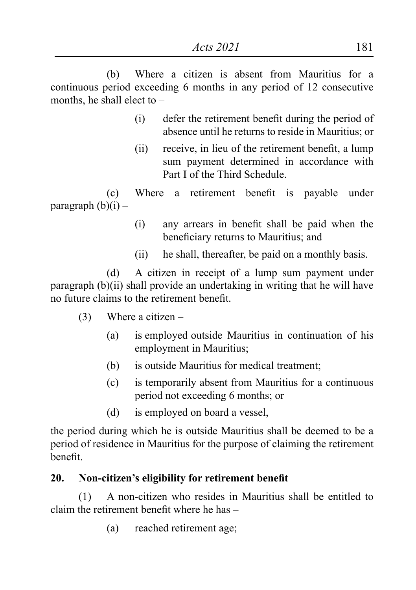(b) Where a citizen is absent from Mauritius for a continuous period exceeding 6 months in any period of 12 consecutive months, he shall elect to –

- (i) defer the retirement benefit during the period of absence until he returns to reside in Mauritius; or
- (ii) receive, in lieu of the retirement benefit, a lump sum payment determined in accordance with Part I of the Third Schedule.

 (c) Where a retirement benefit is payable under paragraph  $(b)(i)$  –

- (i) any arrears in benefit shall be paid when the beneficiary returns to Mauritius; and
- (ii) he shall, thereafter, be paid on a monthly basis.

(d) A citizen in receipt of a lump sum payment under paragraph (b)(ii) shall provide an undertaking in writing that he will have no future claims to the retirement benefit.

- (3) Where a citizen
	- (a) is employed outside Mauritius in continuation of his employment in Mauritius;
	- (b) is outside Mauritius for medical treatment;
	- (c) is temporarily absent from Mauritius for a continuous period not exceeding 6 months; or
	- (d) is employed on board a vessel,

the period during which he is outside Mauritius shall be deemed to be a period of residence in Mauritius for the purpose of claiming the retirement benefit.

### **20. Non-citizen's eligibility for retirement benefit**

(1) A non-citizen who resides in Mauritius shall be entitled to claim the retirement benefit where he has –

(a) reached retirement age;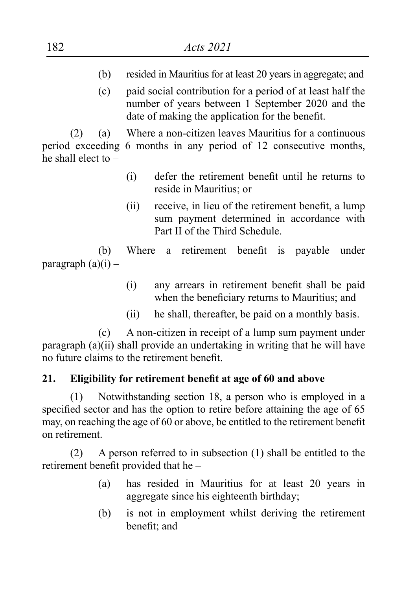- (b) resided in Mauritius for at least 20 years in aggregate; and
- (c) paid social contribution for a period of at least half the number of years between 1 September 2020 and the date of making the application for the benefit.

(2) (a) Where a non-citizen leaves Mauritius for a continuous period exceeding 6 months in any period of 12 consecutive months, he shall elect to –

- (i) defer the retirement benefit until he returns to reside in Mauritius; or
- (ii) receive, in lieu of the retirement benefit, a lump sum payment determined in accordance with Part II of the Third Schedule.

 (b) Where a retirement benefit is payable under paragraph  $(a)(i)$  –

- (i) any arrears in retirement benefit shall be paid when the beneficiary returns to Mauritius; and
- (ii) he shall, thereafter, be paid on a monthly basis.

(c) A non-citizen in receipt of a lump sum payment under paragraph (a)(ii) shall provide an undertaking in writing that he will have no future claims to the retirement benefit.

# **21. Eligibility for retirement benefit at age of 60 and above**

(1) Notwithstanding section 18, a person who is employed in a specified sector and has the option to retire before attaining the age of 65 may, on reaching the age of 60 or above, be entitled to the retirement benefit on retirement.

(2) A person referred to in subsection (1) shall be entitled to the retirement benefit provided that he –

- (a) has resided in Mauritius for at least 20 years in aggregate since his eighteenth birthday;
- (b) is not in employment whilst deriving the retirement benefit; and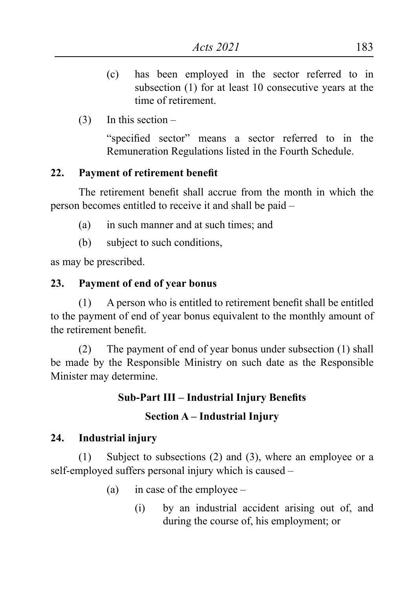- (c) has been employed in the sector referred to in subsection (1) for at least 10 consecutive years at the time of retirement.
- $(3)$  In this section –

"specified sector" means a sector referred to in the Remuneration Regulations listed in the Fourth Schedule.

### **22. Payment of retirement benefit**

The retirement benefit shall accrue from the month in which the person becomes entitled to receive it and shall be paid –

- (a) in such manner and at such times; and
- (b) subject to such conditions,

as may be prescribed.

### **23. Payment of end of year bonus**

 $(1)$  A person who is entitled to retirement benefit shall be entitled to the payment of end of year bonus equivalent to the monthly amount of the retirement benefit.

(2) The payment of end of year bonus under subsection (1) shall be made by the Responsible Ministry on such date as the Responsible Minister may determine.

# **Sub-Part III – Industrial Injury Benefits**

# **Section A – Industrial Injury**

# **24. Industrial injury**

(1) Subject to subsections (2) and (3), where an employee or a self-employed suffers personal injury which is caused –

- (a) in case of the employee
	- (i) by an industrial accident arising out of, and during the course of, his employment; or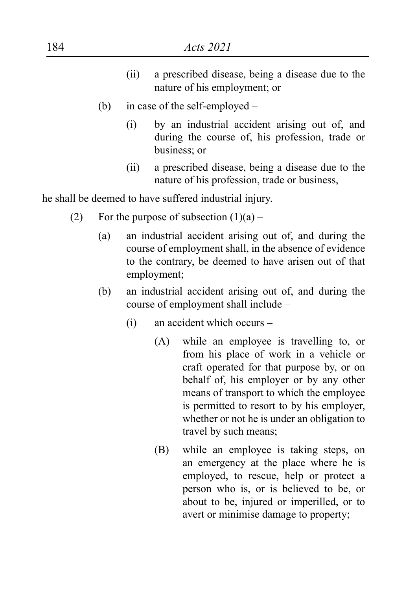- (ii) a prescribed disease, being a disease due to the nature of his employment; or
- (b) in case of the self-employed
	- (i) by an industrial accident arising out of, and during the course of, his profession, trade or business; or
	- (ii) a prescribed disease, being a disease due to the nature of his profession, trade or business,

he shall be deemed to have suffered industrial injury.

- (2) For the purpose of subsection  $(1)(a)$ 
	- (a) an industrial accident arising out of, and during the course of employment shall, in the absence of evidence to the contrary, be deemed to have arisen out of that employment;
	- (b) an industrial accident arising out of, and during the course of employment shall include –
		- (i) an accident which occurs
			- (A) while an employee is travelling to, or from his place of work in a vehicle or craft operated for that purpose by, or on behalf of, his employer or by any other means of transport to which the employee is permitted to resort to by his employer, whether or not he is under an obligation to travel by such means;
			- (B) while an employee is taking steps, on an emergency at the place where he is employed, to rescue, help or protect a person who is, or is believed to be, or about to be, injured or imperilled, or to avert or minimise damage to property;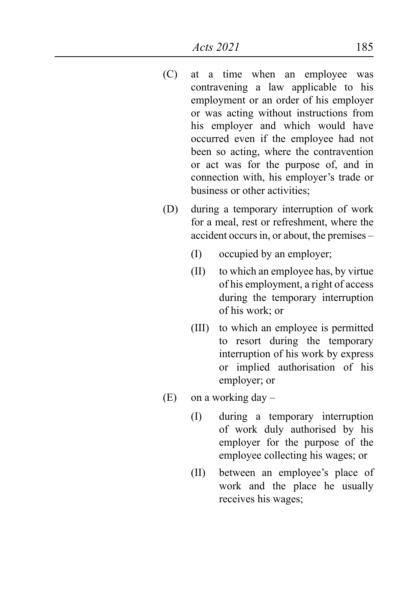- (C) at a time when an employee was contravening a law applicable to his employment or an order of his employer or was acting without instructions from his employer and which would have occurred even if the employee had not been so acting, where the contravention or act was for the purpose of, and in connection with, his employer's trade or business or other activities;
- (D) during a temporary interruption of work for a meal, rest or refreshment, where the accident occurs in, or about, the premises –
	- (I) occupied by an employer;
	- (II) to which an employee has, by virtue of his employment, a right of access during the temporary interruption of his work; or
	- (III) to which an employee is permitted to resort during the temporary interruption of his work by express or implied authorisation of his employer; or
- $(E)$  on a working day
	- (I) during a temporary interruption of work duly authorised by his employer for the purpose of the employee collecting his wages; or
	- (II) between an employee's place of work and the place he usually receives his wages;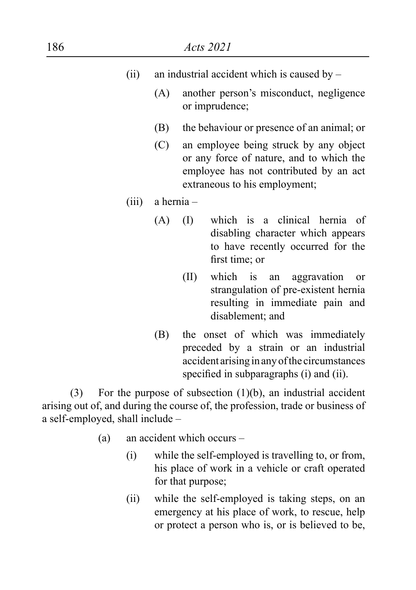| 186                                     |                                               |            | Acts 2021                                                                                                                                                               |  |
|-----------------------------------------|-----------------------------------------------|------------|-------------------------------------------------------------------------------------------------------------------------------------------------------------------------|--|
| (ii)                                    | an industrial accident which is caused by $-$ |            |                                                                                                                                                                         |  |
|                                         | (A)                                           |            | another person's misconduct, negligence<br>or imprudence;                                                                                                               |  |
|                                         | (B)                                           |            | the behaviour or presence of an animal; or                                                                                                                              |  |
|                                         | (C)                                           |            | an employee being struck by any object<br>or any force of nature, and to which the<br>employee has not contributed by an act<br>extraneous to his employment;           |  |
| (iii)                                   |                                               | a hernia - |                                                                                                                                                                         |  |
|                                         | (A)                                           | (1)        | which is a clinical hernia of<br>disabling character which appears<br>to have recently occurred for the<br>first time; or                                               |  |
|                                         |                                               | (II)       | which is<br>aggravation<br>an<br><sub>or</sub><br>strangulation of pre-existent hernia<br>resulting in immediate pain and<br>disablement; and                           |  |
|                                         | (B)                                           |            | the onset of which was immediately<br>preceded by a strain or an industrial<br>accident arising in any of the circumstances<br>specified in subparagraphs (i) and (ii). |  |
| (3)<br>a self-employed, shall include - |                                               |            | For the purpose of subsection $(1)(b)$ , an industrial accident<br>arising out of, and during the course of, the profession, trade or business of                       |  |

- (a) an accident which occurs
	- (i) while the self-employed is travelling to, or from, his place of work in a vehicle or craft operated for that purpose;
	- (ii) while the self-employed is taking steps, on an emergency at his place of work, to rescue, help or protect a person who is, or is believed to be,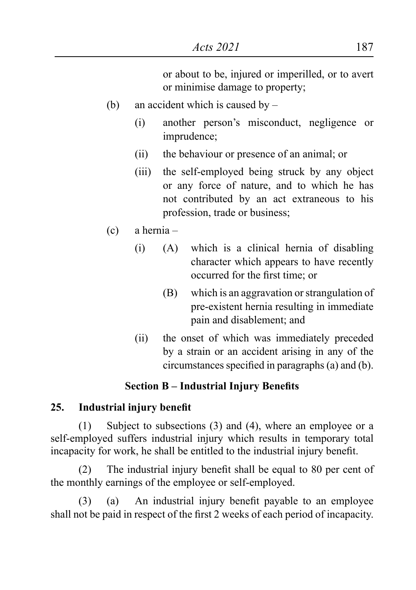or about to be, injured or imperilled, or to avert or minimise damage to property;

- (b) an accident which is caused by
	- (i) another person's misconduct, negligence or imprudence;
	- (ii) the behaviour or presence of an animal; or
	- (iii) the self-employed being struck by any object or any force of nature, and to which he has not contributed by an act extraneous to his profession, trade or business;
- (c) a hernia
	- (i) (A) which is a clinical hernia of disabling character which appears to have recently occurred for the first time; or
		- (B) which is an aggravation or strangulation of pre-existent hernia resulting in immediate pain and disablement; and
	- (ii) the onset of which was immediately preceded by a strain or an accident arising in any of the circumstances specified in paragraphs $(a)$  and  $(b)$ .

# **Section B – Industrial Injury Benefits**

#### **25. Industrial injury benefit**

(1) Subject to subsections (3) and (4), where an employee or a self-employed suffers industrial injury which results in temporary total incapacity for work, he shall be entitled to the industrial injury benefit.

(2) The industrial injury benefit shall be equal to 80 per cent of the monthly earnings of the employee or self-employed.

(3) (a) An industrial injury benefit payable to an employee shall not be paid in respect of the first 2 weeks of each period of incapacity.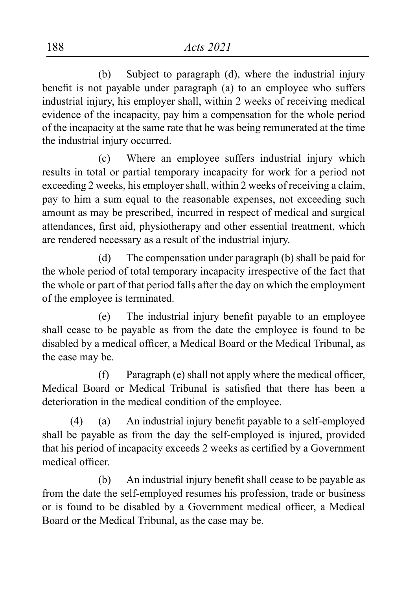(b) Subject to paragraph (d), where the industrial injury benefit is not payable under paragraph (a) to an employee who suffers industrial injury, his employer shall, within 2 weeks of receiving medical evidence of the incapacity, pay him a compensation for the whole period of the incapacity at the same rate that he was being remunerated at the time the industrial injury occurred.

(c) Where an employee suffers industrial injury which results in total or partial temporary incapacity for work for a period not exceeding 2 weeks, his employer shall, within 2 weeks of receiving a claim, pay to him a sum equal to the reasonable expenses, not exceeding such amount as may be prescribed, incurred in respect of medical and surgical attendances, first aid, physiotherapy and other essential treatment, which are rendered necessary as a result of the industrial injury.

(d) The compensation under paragraph (b) shall be paid for the whole period of total temporary incapacity irrespective of the fact that the whole or part of that period falls after the day on which the employment of the employee is terminated.

 (e) The industrial injury benefit payable to an employee shall cease to be payable as from the date the employee is found to be disabled by a medical officer, a Medical Board or the Medical Tribunal, as the case may be.

 $(f)$  Paragraph  $(e)$  shall not apply where the medical officer, Medical Board or Medical Tribunal is satisfied that there has been a deterioration in the medical condition of the employee.

 $(4)$  (a) An industrial injury benefit payable to a self-employed shall be payable as from the day the self-employed is injured, provided that his period of incapacity exceeds 2 weeks as certified by a Government medical officer.

 (b) An industrial injury benefit shall cease to be payable as from the date the self-employed resumes his profession, trade or business or is found to be disabled by a Government medical officer, a Medical Board or the Medical Tribunal, as the case may be.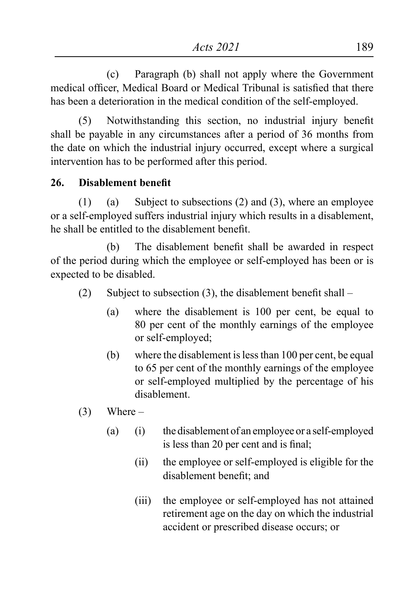(c) Paragraph (b) shall not apply where the Government medical officer, Medical Board or Medical Tribunal is satisfied that there has been a deterioration in the medical condition of the self-employed.

(5) Notwithstanding this section, no industrial injury benefit shall be payable in any circumstances after a period of 36 months from the date on which the industrial injury occurred, except where a surgical intervention has to be performed after this period.

### **26. Disablement benefit**

(1) (a) Subject to subsections (2) and (3), where an employee or a self-employed suffers industrial injury which results in a disablement, he shall be entitled to the disablement benefit.

 (b) The disablement benefit shall be awarded in respect of the period during which the employee or self-employed has been or is expected to be disabled.

- (2) Subject to subsection  $(3)$ , the disablement benefit shall
	- (a) where the disablement is 100 per cent, be equal to 80 per cent of the monthly earnings of the employee or self-employed;
	- (b) where the disablement is less than 100 per cent, be equal to 65 per cent of the monthly earnings of the employee or self-employed multiplied by the percentage of his disablement.
- $(3)$  Where
	- (a) (i) the disablement of an employee or a self-employed is less than 20 per cent and is final;
		- (ii) the employee or self-employed is eligible for the disablement benefit; and
		- (iii) the employee or self-employed has not attained retirement age on the day on which the industrial accident or prescribed disease occurs; or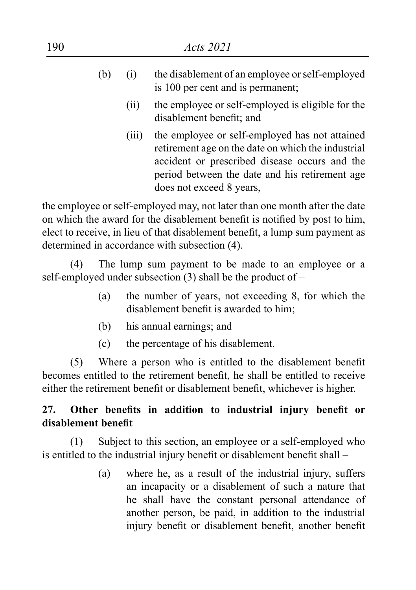| 190 |     | <i>Acts</i> 2021 |                                                                                                                                                                                                                                     |  |  |
|-----|-----|------------------|-------------------------------------------------------------------------------------------------------------------------------------------------------------------------------------------------------------------------------------|--|--|
|     | (b) | (i)              | the disablement of an employee or self-employed<br>is 100 per cent and is permanent;                                                                                                                                                |  |  |
|     |     | (i)              | the employee or self-employed is eligible for the<br>disablement benefit; and                                                                                                                                                       |  |  |
|     |     | (111)            | the employee or self-employed has not attained<br>retirement age on the date on which the industrial<br>accident or prescribed disease occurs and the<br>period between the date and his retirement age<br>does not exceed 8 years, |  |  |
|     |     |                  | the employee or self-employed may, not later than one month after the date                                                                                                                                                          |  |  |

the employee or self-employed may, not later than one month after the date on which the award for the disablement benefit is notified by post to him, elect to receive, in lieu of that disablement benefit, a lump sum payment as determined in accordance with subsection (4).

(4) The lump sum payment to be made to an employee or a self-employed under subsection (3) shall be the product of –

- (a) the number of years, not exceeding 8, for which the disablement benefit is awarded to him;
- (b) his annual earnings; and
- (c) the percentage of his disablement.

(5) Where a person who is entitled to the disablement benefit becomes entitled to the retirement benefit, he shall be entitled to receive either the retirement benefit or disablement benefit, whichever is higher.

# **27. Other benefits in addition to industrial injury benefit or disablement benefit**

(1) Subject to this section, an employee or a self-employed who is entitled to the industrial injury benefit or disablement benefit shall –

> (a) where he, as a result of the industrial injury, suffers an incapacity or a disablement of such a nature that he shall have the constant personal attendance of another person, be paid, in addition to the industrial injury benefit or disablement benefit, another benefit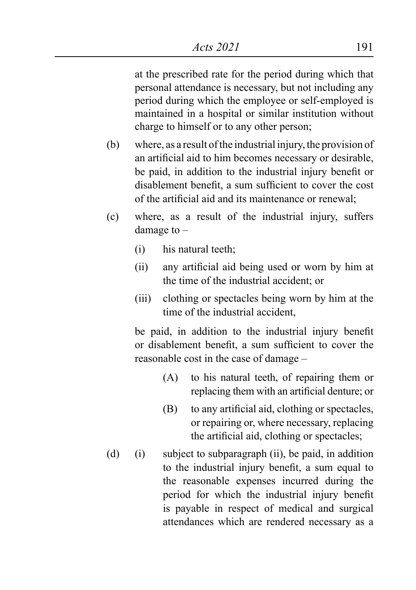at the prescribed rate for the period during which that personal attendance is necessary, but not including any period during which the employee or self-employed is maintained in a hospital or similar institution without charge to himself or to any other person;

- (b) where, as a result of the industrial injury, the provision of an artificial aid to him becomes necessary or desirable, be paid, in addition to the industrial injury benefit or disablement benefit, a sum sufficient to cover the cost of the artificial aid and its maintenance or renewal;
- (c) where, as a result of the industrial injury, suffers damage to –
	- (i) his natural teeth;
	- (ii) any artificial aid being used or worn by him at the time of the industrial accident; or
	- (iii) clothing or spectacles being worn by him at the time of the industrial accident,

 be paid, in addition to the industrial injury benefit or disablement benefit, a sum sufficient to cover the reasonable cost in the case of damage –

- (A) to his natural teeth, of repairing them or replacing them with an artificial denture; or
- (B) to any artificial aid, clothing or spectacles, or repairing or, where necessary, replacing the artificial aid, clothing or spectacles;
- (d) (i) subject to subparagraph (ii), be paid, in addition to the industrial injury benefit, a sum equal to the reasonable expenses incurred during the period for which the industrial injury benefit is payable in respect of medical and surgical attendances which are rendered necessary as a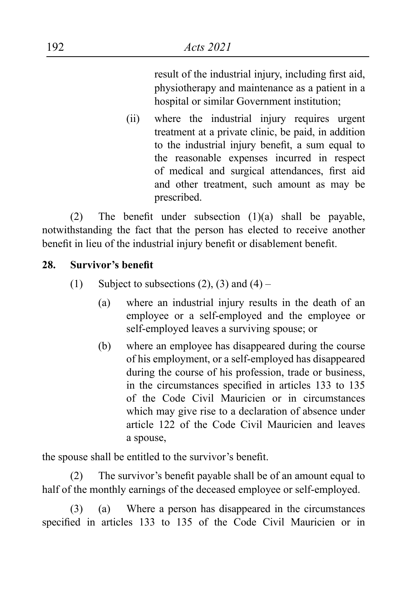result of the industrial injury, including first aid, physiotherapy and maintenance as a patient in a hospital or similar Government institution;

(ii) where the industrial injury requires urgent treatment at a private clinic, be paid, in addition to the industrial injury benefit, a sum equal to the reasonable expenses incurred in respect of medical and surgical attendances, first aid and other treatment, such amount as may be prescribed.

(2) The benefit under subsection  $(1)(a)$  shall be payable, notwithstanding the fact that the person has elected to receive another benefit in lieu of the industrial injury benefit or disablement benefit.

### **28. Survivor's benefit**

- (1) Subject to subsections  $(2)$ ,  $(3)$  and  $(4)$ 
	- (a) where an industrial injury results in the death of an employee or a self-employed and the employee or self-employed leaves a surviving spouse; or
	- (b) where an employee has disappeared during the course of his employment, or a self-employed has disappeared during the course of his profession, trade or business, in the circumstances specified in articles 133 to 135 of the Code Civil Mauricien or in circumstances which may give rise to a declaration of absence under article 122 of the Code Civil Mauricien and leaves a spouse,

the spouse shall be entitled to the survivor's benefit.

(2) The survivor's benefit payable shall be of an amount equal to half of the monthly earnings of the deceased employee or self-employed.

(3) (a) Where a person has disappeared in the circumstances specified in articles 133 to 135 of the Code Civil Mauricien or in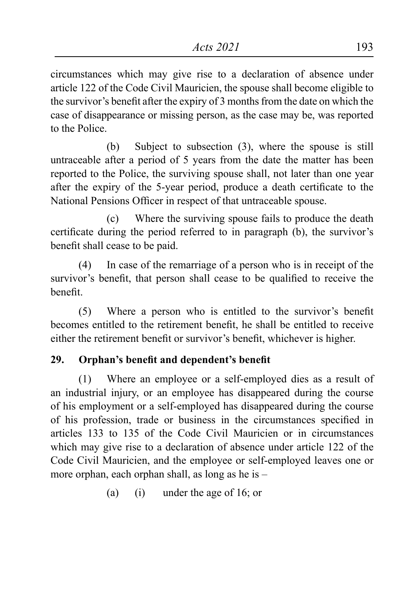circumstances which may give rise to a declaration of absence under article 122 of the Code Civil Mauricien, the spouse shall become eligible to the survivor's benefit after the expiry of 3 months from the date on which the case of disappearance or missing person, as the case may be, was reported to the Police.

(b) Subject to subsection (3), where the spouse is still untraceable after a period of 5 years from the date the matter has been reported to the Police, the surviving spouse shall, not later than one year after the expiry of the 5-year period, produce a death certificate to the National Pensions Officer in respect of that untraceable spouse.

(c) Where the surviving spouse fails to produce the death certificate during the period referred to in paragraph (b), the survivor's benefit shall cease to be paid.

(4) In case of the remarriage of a person who is in receipt of the survivor's benefit, that person shall cease to be qualified to receive the benefit.

(5) Where a person who is entitled to the survivor's benefit becomes entitled to the retirement benefit, he shall be entitled to receive either the retirement benefit or survivor's benefit, whichever is higher.

# **29. Orphan's benefit and dependent's benefit**

(1) Where an employee or a self-employed dies as a result of an industrial injury, or an employee has disappeared during the course of his employment or a self-employed has disappeared during the course of his profession, trade or business in the circumstances specified in articles 133 to 135 of the Code Civil Mauricien or in circumstances which may give rise to a declaration of absence under article 122 of the Code Civil Mauricien, and the employee or self-employed leaves one or more orphan, each orphan shall, as long as he is –

(a) (i) under the age of 16; or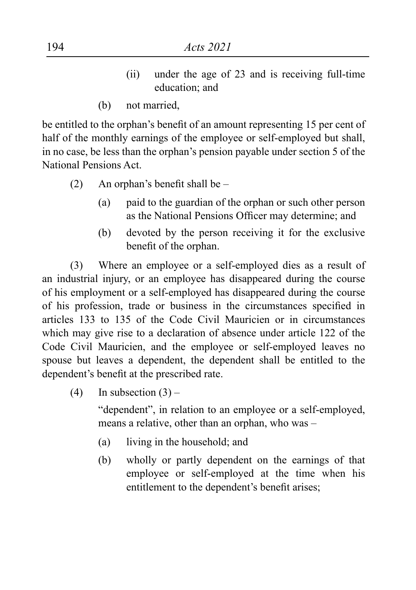- (ii) under the age of 23 and is receiving full-time education; and
- (b) not married,

be entitled to the orphan's benefit of an amount representing 15 per cent of half of the monthly earnings of the employee or self-employed but shall, in no case, be less than the orphan's pension payable under section 5 of the National Pensions Act.

- (2) An orphan's benefit shall be  $-$ 
	- (a) paid to the guardian of the orphan or such other person as the National Pensions Officer may determine; and
	- (b) devoted by the person receiving it for the exclusive benefit of the orphan.

(3) Where an employee or a self-employed dies as a result of an industrial injury, or an employee has disappeared during the course of his employment or a self-employed has disappeared during the course of his profession, trade or business in the circumstances specified in articles 133 to 135 of the Code Civil Mauricien or in circumstances which may give rise to a declaration of absence under article 122 of the Code Civil Mauricien, and the employee or self-employed leaves no spouse but leaves a dependent, the dependent shall be entitled to the dependent's benefit at the prescribed rate.

(4) In subsection  $(3)$  –

"dependent", in relation to an employee or a self-employed, means a relative, other than an orphan, who was –

- (a) living in the household; and
- (b) wholly or partly dependent on the earnings of that employee or self-employed at the time when his entitlement to the dependent's benefit arises;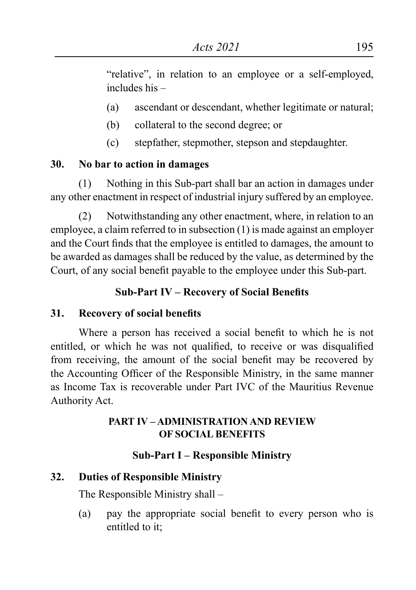"relative", in relation to an employee or a self-employed, includes his –

- (a) ascendant or descendant, whether legitimate or natural;
- (b) collateral to the second degree; or
- (c) stepfather, stepmother, stepson and stepdaughter.

### **30. No bar to action in damages**

(1) Nothing in this Sub-part shall bar an action in damages under any other enactment in respect of industrial injury suffered by an employee.

(2) Notwithstanding any other enactment, where, in relation to an employee, a claim referred to in subsection (1) is made against an employer and the Court finds that the employee is entitled to damages, the amount to be awarded as damages shall be reduced by the value, as determined by the Court, of any social benefit payable to the employee under this Sub-part.

# **Sub-Part IV – Recovery of Social Benefits**

# **31. Recovery of social benefits**

Where a person has received a social benefit to which he is not entitled, or which he was not qualified, to receive or was disqualified from receiving, the amount of the social benefit may be recovered by the Accounting Officer of the Responsible Ministry, in the same manner as Income Tax is recoverable under Part IVC of the Mauritius Revenue Authority Act.

### **PART IV – ADMINISTRATION AND REVIEW OF SOCIAL BENEFITS**

# **Sub-Part I – Responsible Ministry**

# **32. Duties of Responsible Ministry**

The Responsible Ministry shall –

(a) pay the appropriate social benefit to every person who is entitled to it;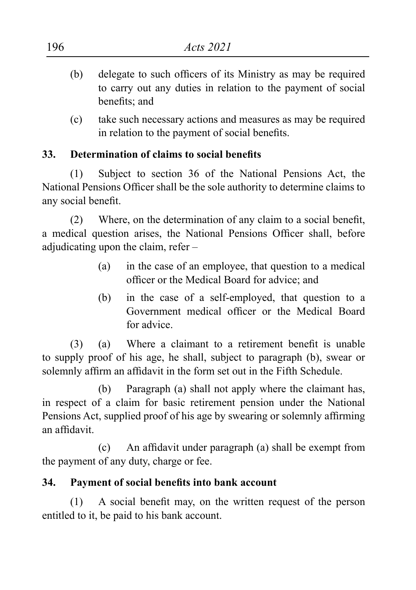- (b) delegate to such officers of its Ministry as may be required to carry out any duties in relation to the payment of social benefits; and
- (c) take such necessary actions and measures as may be required in relation to the payment of social benefits.

### **33. Determination of claims to social benefits**

(1) Subject to section 36 of the National Pensions Act, the National Pensions Officer shall be the sole authority to determine claims to any social benefit.

(2) Where, on the determination of any claim to a social benefit, a medical question arises, the National Pensions Officer shall, before adjudicating upon the claim, refer –

- (a) in the case of an employee, that question to a medical officer or the Medical Board for advice; and
- (b) in the case of a self-employed, that question to a Government medical officer or the Medical Board for advice.

(3) (a) Where a claimant to a retirement benefit is unable to supply proof of his age, he shall, subject to paragraph (b), swear or solemnly affirm an affidavit in the form set out in the Fifth Schedule.

(b) Paragraph (a) shall not apply where the claimant has, in respect of a claim for basic retirement pension under the National Pensions Act, supplied proof of his age by swearing or solemnly affirming an affidavit.

 (c) An affidavit under paragraph (a) shall be exempt from the payment of any duty, charge or fee.

# **34. Payment of social benefits into bank account**

(1) A social benefit may, on the written request of the person entitled to it, be paid to his bank account.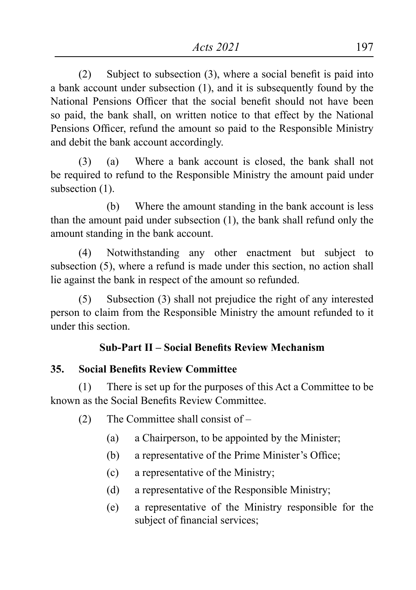(2) Subject to subsection  $(3)$ , where a social benefit is paid into a bank account under subsection (1), and it is subsequently found by the National Pensions Officer that the social benefit should not have been so paid, the bank shall, on written notice to that effect by the National Pensions Officer, refund the amount so paid to the Responsible Ministry and debit the bank account accordingly.

(3) (a) Where a bank account is closed, the bank shall not be required to refund to the Responsible Ministry the amount paid under subsection  $(1)$ .

(b) Where the amount standing in the bank account is less than the amount paid under subsection (1), the bank shall refund only the amount standing in the bank account.

(4) Notwithstanding any other enactment but subject to subsection (5), where a refund is made under this section, no action shall lie against the bank in respect of the amount so refunded.

(5) Subsection (3) shall not prejudice the right of any interested person to claim from the Responsible Ministry the amount refunded to it under this section.

# **Sub-Part II – Social Benefits Review Mechanism**

### **35. Social Benefits Review Committee**

(1) There is set up for the purposes of this Act a Committee to be known as the Social Benefits Review Committee.

- (2) The Committee shall consist of
	- (a) a Chairperson, to be appointed by the Minister;
	- (b) a representative of the Prime Minister's Office;
	- (c) a representative of the Ministry;
	- (d) a representative of the Responsible Ministry;
	- (e) a representative of the Ministry responsible for the subject of financial services;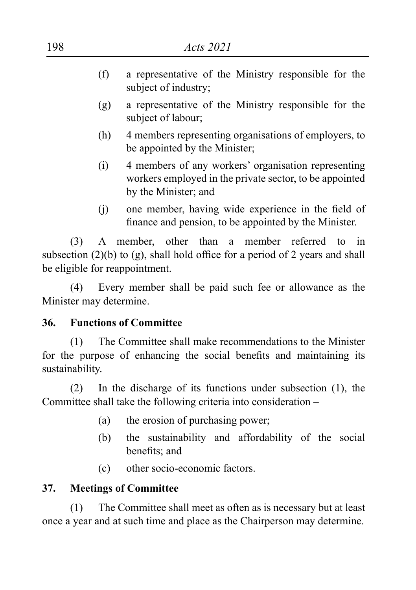- (f) a representative of the Ministry responsible for the subject of industry;
- (g) a representative of the Ministry responsible for the subject of labour;
- (h) 4 members representing organisations of employers, to be appointed by the Minister;
- (i) 4 members of any workers' organisation representing workers employed in the private sector, to be appointed by the Minister; and
- (i) one member, having wide experience in the field of finance and pension, to be appointed by the Minister.

(3) A member, other than a member referred to in subsection  $(2)(b)$  to  $(g)$ , shall hold office for a period of 2 years and shall be eligible for reappointment.

(4) Every member shall be paid such fee or allowance as the Minister may determine.

#### **36. Functions of Committee**

(1) The Committee shall make recommendations to the Minister for the purpose of enhancing the social benefits and maintaining its sustainability.

(2) In the discharge of its functions under subsection (1), the Committee shall take the following criteria into consideration –

- (a) the erosion of purchasing power;
- (b) the sustainability and affordability of the social benefits; and
- (c) other socio-economic factors.

#### **37. Meetings of Committee**

(1) The Committee shall meet as often as is necessary but at least once a year and at such time and place as the Chairperson may determine.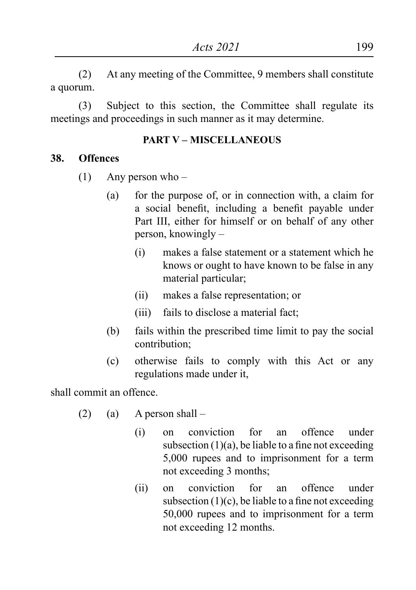(2) At any meeting of the Committee, 9 members shall constitute a quorum.

(3) Subject to this section, the Committee shall regulate its meetings and proceedings in such manner as it may determine.

#### **PART V – MISCELLANEOUS**

#### **38. Offences**

- (1) Any person who
	- (a) for the purpose of, or in connection with, a claim for a social benefit, including a benefit payable under Part III, either for himself or on behalf of any other person, knowingly –
		- (i) makes a false statement or a statement which he knows or ought to have known to be false in any material particular;
		- (ii) makes a false representation; or
		- (iii) fails to disclose a material fact;
	- (b) fails within the prescribed time limit to pay the social contribution;
	- (c) otherwise fails to comply with this Act or any regulations made under it,

shall commit an offence.

- $(2)$  (a) A person shall
	- (i) on conviction for an offence under subsection  $(1)(a)$ , be liable to a fine not exceeding 5,000 rupees and to imprisonment for a term not exceeding 3 months;
	- (ii) on conviction for an offence under subsection  $(1)(c)$ , be liable to a fine not exceeding 50,000 rupees and to imprisonment for a term not exceeding 12 months.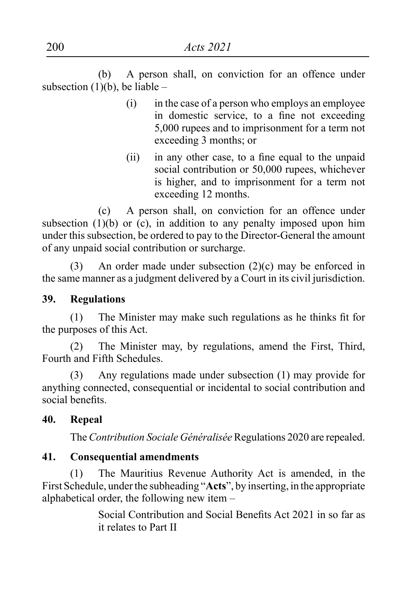(b) A person shall, on conviction for an offence under subsection (1)(b), be liable –

- (i) in the case of a person who employs an employee in domestic service, to a fine not exceeding 5,000 rupees and to imprisonment for a term not exceeding 3 months; or
- (ii) in any other case, to a fine equal to the unpaid social contribution or 50,000 rupees, whichever is higher, and to imprisonment for a term not exceeding 12 months.

(c) A person shall, on conviction for an offence under subsection  $(1)(b)$  or  $(c)$ , in addition to any penalty imposed upon him under this subsection, be ordered to pay to the Director-General the amount of any unpaid social contribution or surcharge.

(3) An order made under subsection (2)(c) may be enforced in the same manner as a judgment delivered by a Court in its civil jurisdiction.

#### **39. Regulations**

(1) The Minister may make such regulations as he thinks fit for the purposes of this Act.

(2) The Minister may, by regulations, amend the First, Third, Fourth and Fifth Schedules.

(3) Any regulations made under subsection (1) may provide for anything connected, consequential or incidental to social contribution and social benefits.

#### **40. Repeal**

The *Contribution Sociale Généralisée* Regulations 2020 are repealed.

### **41. Consequential amendments**

(1) The Mauritius Revenue Authority Act is amended, in the First Schedule, under the subheading "**Acts**", by inserting, in the appropriate alphabetical order, the following new item –

> Social Contribution and Social Benefits Act 2021 in so far as it relates to Part II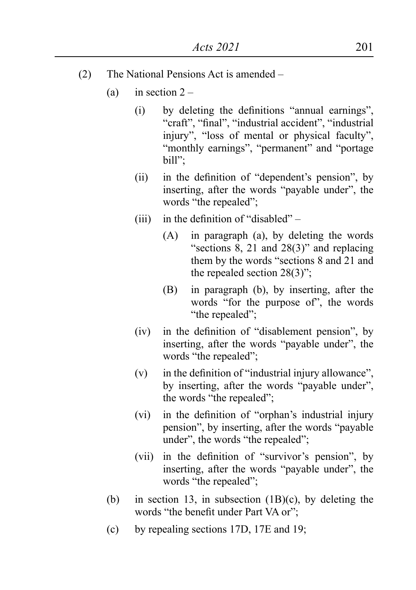- (2) The National Pensions Act is amended
	- (a) in section  $2 -$ 
		- (i) by deleting the definitions "annual earnings", "craft", "final", "industrial accident", "industrial injury", "loss of mental or physical faculty", "monthly earnings", "permanent" and "portage bill";
		- (ii) in the definition of "dependent's pension", by inserting, after the words "payable under", the words "the repealed";
		- (iii) in the definition of "disabled"  $-$ 
			- (A) in paragraph (a), by deleting the words "sections 8, 21 and 28(3)" and replacing them by the words "sections 8 and 21 and the repealed section 28(3)";
			- (B) in paragraph (b), by inserting, after the words "for the purpose of", the words "the repealed";
		- (iv) in the definition of "disablement pension", by inserting, after the words "payable under", the words "the repealed";
		- $(v)$  in the definition of "industrial injury allowance", by inserting, after the words "payable under", the words "the repealed";
		- (vi) in the definition of "orphan's industrial injury pension", by inserting, after the words "payable under", the words "the repealed";
		- (vii) in the definition of "survivor's pension", by inserting, after the words "payable under", the words "the repealed";
	- (b) in section 13, in subsection (1B)(c), by deleting the words "the benefit under Part VA or";
	- (c) by repealing sections 17D, 17E and 19;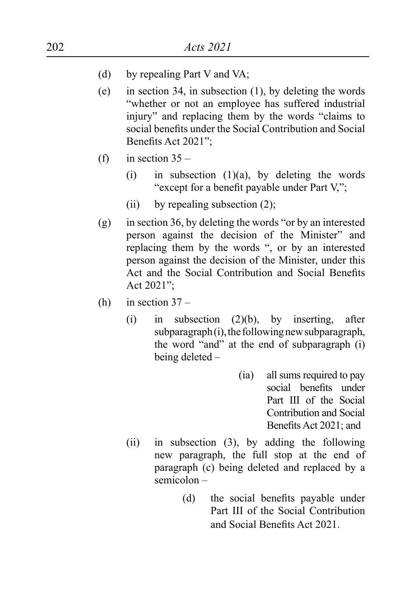- (d) by repealing Part V and VA;
- (e) in section 34, in subsection (1), by deleting the words "whether or not an employee has suffered industrial injury" and replacing them by the words "claims to social benefits under the Social Contribution and Social Benefits Act 2021";
- (f) in section  $35 -$ 
	- (i) in subsection  $(1)(a)$ , by deleting the words "except for a benefit payable under Part V,";
	- (ii) by repealing subsection  $(2)$ ;
- $(g)$  in section 36, by deleting the words "or by an interested person against the decision of the Minister" and replacing them by the words ", or by an interested person against the decision of the Minister, under this Act and the Social Contribution and Social Benefits Act 2021";
- (h) in section  $37 -$ 
	- (i) in subsection (2)(b), by inserting, after subparagraph (i), the following new subparagraph, the word "and" at the end of subparagraph (i) being deleted –
		- (ia) all sums required to pay social benefits under Part III of the Social Contribution and Social Benefits Act 2021; and
	- (ii) in subsection (3), by adding the following new paragraph, the full stop at the end of paragraph (c) being deleted and replaced by a semicolon –
		- (d) the social benefits payable under Part III of the Social Contribution and Social Benefits Act 2021.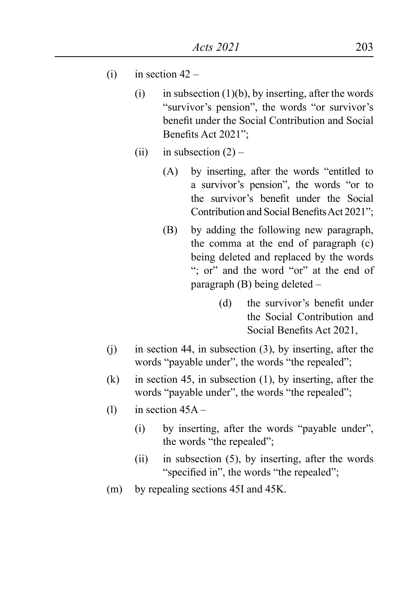- (i) in section  $42 -$ 
	- (i) in subsection  $(1)(b)$ , by inserting, after the words "survivor's pension", the words "or survivor's benefit under the Social Contribution and Social Benefits Act 2021";
	- (ii) in subsection  $(2)$ 
		- (A) by inserting, after the words "entitled to a survivor's pension", the words "or to the survivor's benefit under the Social Contribution and Social Benefits Act 2021":
		- (B) by adding the following new paragraph, the comma at the end of paragraph (c) being deleted and replaced by the words "; or" and the word "or" at the end of paragraph (B) being deleted –
			- (d) the survivor's benefit under the Social Contribution and Social Benefits Act 2021,
- (j) in section 44, in subsection (3), by inserting, after the words "payable under", the words "the repealed";
- (k) in section 45, in subsection (1), by inserting, after the words "payable under", the words "the repealed";
- (1) in section  $45A -$ 
	- (i) by inserting, after the words "payable under", the words "the repealed";
	- (ii) in subsection (5), by inserting, after the words "specified in", the words "the repealed";
- (m) by repealing sections 45I and 45K.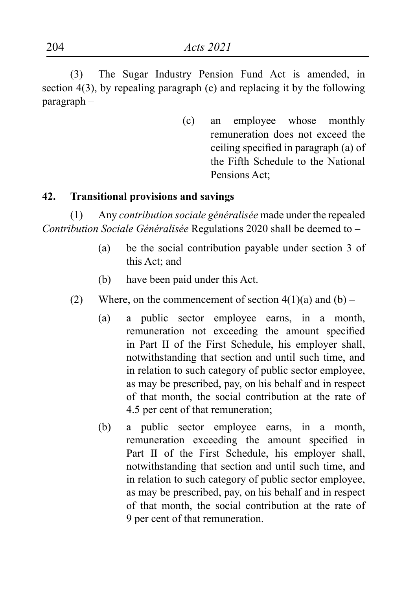(3) The Sugar Industry Pension Fund Act is amended, in section 4(3), by repealing paragraph (c) and replacing it by the following paragraph –

> (c) an employee whose monthly remuneration does not exceed the ceiling specified in paragraph (a) of the Fifth Schedule to the National Pensions Act;

#### **42. Transitional provisions and savings**

(1) Any *contribution sociale généralisée* made under the repealed *Contribution Sociale Généralisée* Regulations 2020 shall be deemed to –

- (a) be the social contribution payable under section 3 of this Act; and
- (b) have been paid under this Act.
- (2) Where, on the commencement of section  $4(1)(a)$  and  $(b)$ 
	- (a) a public sector employee earns, in a month, remuneration not exceeding the amount specified in Part II of the First Schedule, his employer shall, notwithstanding that section and until such time, and in relation to such category of public sector employee, as may be prescribed, pay, on his behalf and in respect of that month, the social contribution at the rate of 4.5 per cent of that remuneration;
	- (b) a public sector employee earns, in a month, remuneration exceeding the amount specified in Part II of the First Schedule, his employer shall, notwithstanding that section and until such time, and in relation to such category of public sector employee, as may be prescribed, pay, on his behalf and in respect of that month, the social contribution at the rate of 9 per cent of that remuneration.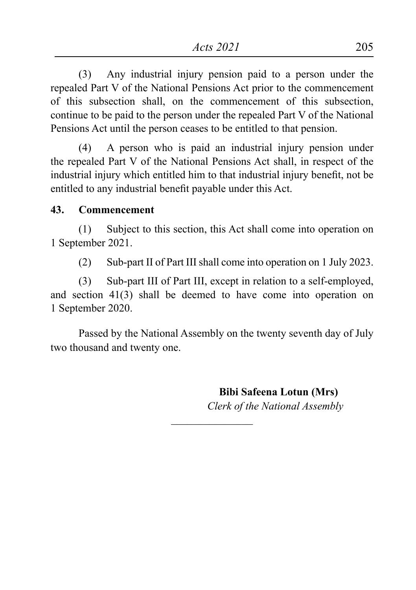(3) Any industrial injury pension paid to a person under the repealed Part V of the National Pensions Act prior to the commencement of this subsection shall, on the commencement of this subsection, continue to be paid to the person under the repealed Part V of the National Pensions Act until the person ceases to be entitled to that pension.

(4) A person who is paid an industrial injury pension under the repealed Part V of the National Pensions Act shall, in respect of the industrial injury which entitled him to that industrial injury benefit, not be entitled to any industrial benefit payable under this Act.

#### **43. Commencement**

(1) Subject to this section, this Act shall come into operation on 1 September 2021.

(2) Sub-part II of Part III shall come into operation on 1 July 2023.

(3) Sub-part III of Part III, except in relation to a self-employed, and section 41(3) shall be deemed to have come into operation on 1 September 2020.

Passed by the National Assembly on the twenty seventh day of July two thousand and twenty one.

 $\overline{\phantom{a}}$  , where  $\overline{\phantom{a}}$ 

 **Bibi Safeena Lotun (Mrs)** *Clerk of the National Assembly*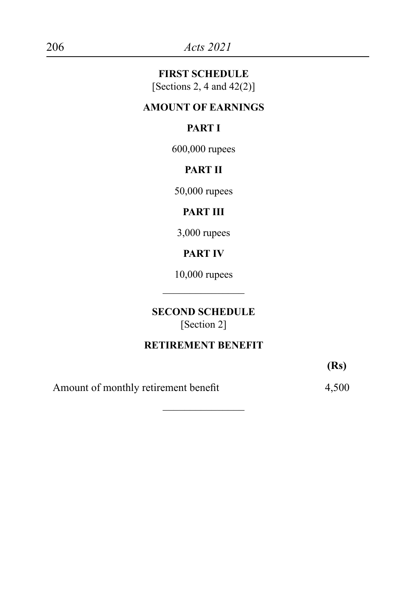#### **FIRST SCHEDULE**

[Sections 2, 4 and  $42(2)$ ]

# **AMOUNT OF EARNINGS**

# **PART I**

600,000 rupees

# **PART II**

50,000 rupees

# **PART III**

3,000 rupees

# **PART IV**

10,000 rupees  $\overline{\phantom{a}}$  , where  $\overline{\phantom{a}}$ 

#### **SECOND SCHEDULE** [Section 2]

# **RETIREMENT BENEFIT**

 $\overline{\phantom{a}}$  , where  $\overline{\phantom{a}}$ 

**(Rs)**

Amount of monthly retirement benefit 4,500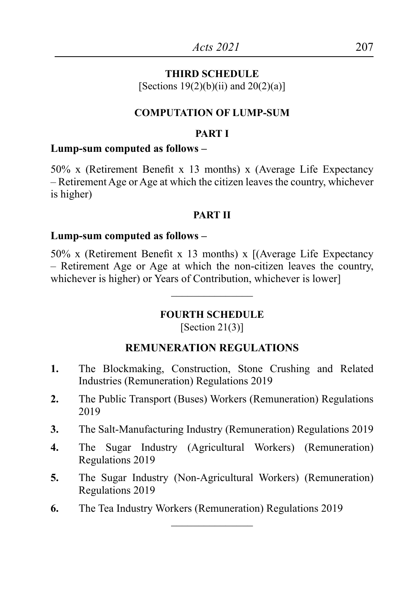#### **THIRD SCHEDULE**

[Sections  $19(2)(b)(ii)$  and  $20(2)(a)$ ]

#### **COMPUTATION OF LUMP-SUM**

#### **PART I**

#### **Lump-sum computed as follows –**

50% x (Retirement Benefit x 13 months) x (Average Life Expectancy – Retirement Age or Age at which the citizen leaves the country, whichever is higher)

#### **PART II**

#### **Lump-sum computed as follows –**

50% x (Retirement Benefit x 13 months) x [(Average Life Expectancy – Retirement Age or Age at which the non-citizen leaves the country, whichever is higher) or Years of Contribution, whichever is lower]

#### **FOURTH SCHEDULE**

 $\overline{\phantom{a}}$  , where  $\overline{\phantom{a}}$ 

 $[Section 21(3)]$ 

#### **REMUNERATION REGULATIONS**

- **1.** The Blockmaking, Construction, Stone Crushing and Related Industries (Remuneration) Regulations 2019
- **2.** The Public Transport (Buses) Workers (Remuneration) Regulations 2019
- **3.** The Salt-Manufacturing Industry (Remuneration) Regulations 2019
- **4.** The Sugar Industry (Agricultural Workers) (Remuneration) Regulations 2019
- **5.** The Sugar Industry (Non-Agricultural Workers) (Remuneration) Regulations 2019

 $\frac{1}{2}$ 

**6.** The Tea Industry Workers (Remuneration) Regulations 2019